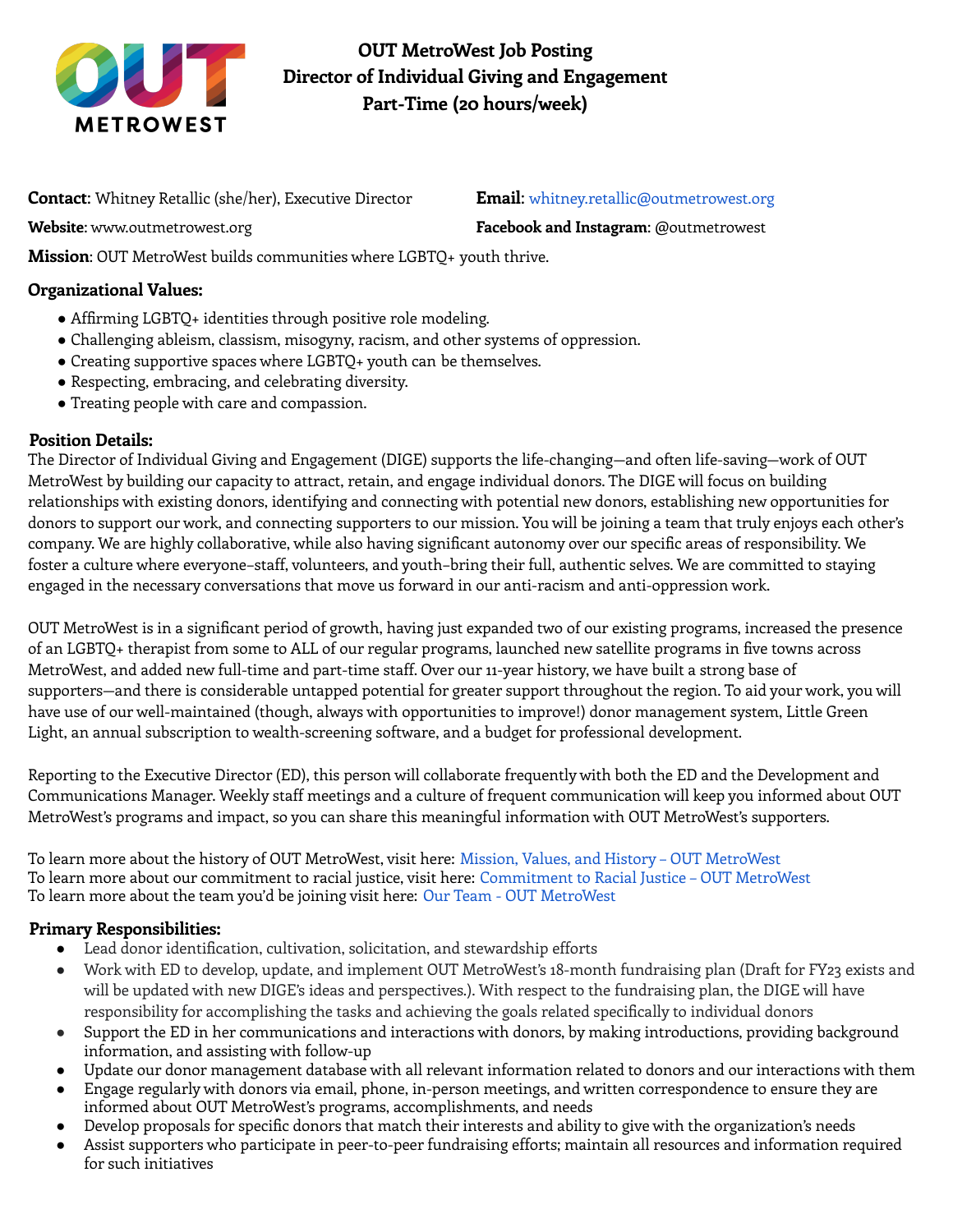

**OUT MetroWest Job Posting Director of Individual Giving and Engagement Part-Time (20 hours/week)**

**Contact**: Whitney Retallic (she/her), Executive Director **Email**: whitney.retallic@outmetrowest.org

**Website**: www.outmetrowest.org **Facebook and Instagram**: @outmetrowest

**Mission**: OUT MetroWest builds communities where LGBTQ+ youth thrive.

# **Organizational Values:**

- Affirming LGBTQ+ identities through positive role modeling.
- Challenging ableism, classism, misogyny, racism, and other systems of oppression.
- Creating supportive spaces where LGBTQ+ youth can be themselves.
- Respecting, embracing, and celebrating diversity.
- Treating people with care and compassion.

# **Position Details:**

The Director of Individual Giving and Engagement (DIGE) supports the life-changing**—**and often life-saving**—**work of OUT MetroWest by building our capacity to attract, retain, and engage individual donors. The DIGE will focus on building relationships with existing donors, identifying and connecting with potential new donors, establishing new opportunities for donors to support our work, and connecting supporters to our mission. You will be joining a team that truly enjoys each other's company. We are highly collaborative, while also having significant autonomy over our specific areas of responsibility. We foster a culture where everyone–staff, volunteers, and youth–bring their full, authentic selves. We are committed to staying engaged in the necessary conversations that move us forward in our anti-racism and anti-oppression work.

OUT MetroWest is in a significant period of growth, having just expanded two of our existing programs, increased the presence of an LGBTQ+ therapist from some to ALL of our regular programs, launched new satellite programs in five towns across MetroWest, and added new full-time and part-time staff. Over our 11-year history, we have built a strong base of supporters**—**and there is considerable untapped potential for greater support throughout the region. To aid your work, you will have use of our well-maintained (though, always with opportunities to improve!) donor management system, Little Green Light, an annual subscription to wealth-screening software, and a budget for professional development.

Reporting to the Executive Director (ED), this person will collaborate frequently with both the ED and the Development and Communications Manager. Weekly staff meetings and a culture of frequent communication will keep you informed about OUT MetroWest's programs and impact, so you can share this meaningful information with OUT MetroWest's supporters.

To learn more about the history of OUT MetroWest, visit here: Mission, Values, and History – OUT MetroWest To learn more about our commitment to racial justice, visit here: Commitment to Racial Justice – OUT MetroWest To learn more about the team you'd be joining visit here: Our Team - OUT MetroWest

# **Primary Responsibilities:**

- Lead donor identification, cultivation, solicitation, and stewardship efforts
- Work with ED to develop, update, and implement OUT MetroWest's 18-month fundraising plan (Draft for FY23 exists and will be updated with new DIGE's ideas and perspectives.). With respect to the fundraising plan, the DIGE will have responsibility for accomplishing the tasks and achieving the goals related specifically to individual donors
- Support the ED in her communications and interactions with donors, by making introductions, providing background information, and assisting with follow-up
- Update our donor management database with all relevant information related to donors and our interactions with them
- Engage regularly with donors via email, phone, in-person meetings, and written correspondence to ensure they are informed about OUT MetroWest's programs, accomplishments, and needs
- Develop proposals for specific donors that match their interests and ability to give with the organization's needs
- Assist supporters who participate in peer-to-peer fundraising efforts; maintain all resources and information required for such initiatives